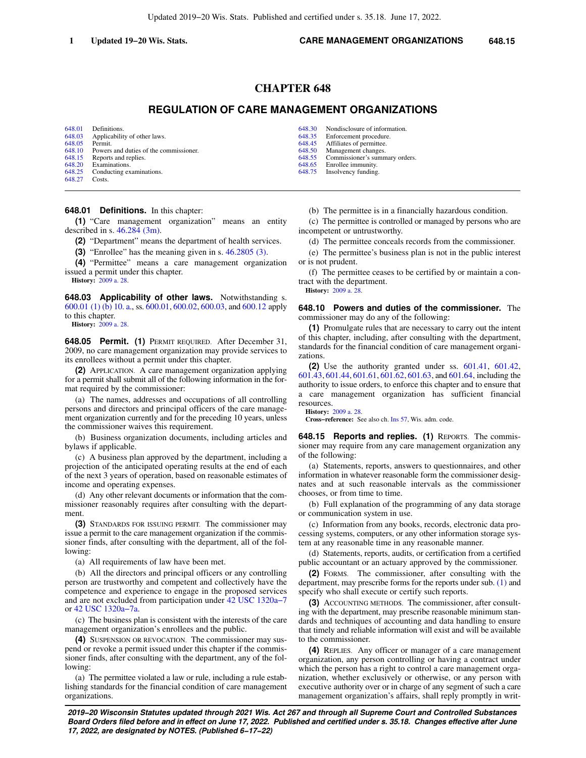Updated 2019−20 Wis. Stats. Published and certified under s. 35.18. June 17, 2022.

## **CHAPTER 648**

# **REGULATION OF CARE MANAGEMENT ORGANIZATIONS**

[648.01](https://docs.legis.wisconsin.gov/document/statutes/648.01) Definitions.<br>648.03 Applicabilit [648.03](https://docs.legis.wisconsin.gov/document/statutes/648.03) Applicability of other laws.<br>648.05 Permit. [648.05](https://docs.legis.wisconsin.gov/document/statutes/648.05) Permit.<br>648.10 Powers [648.10](https://docs.legis.wisconsin.gov/document/statutes/648.10) Powers and duties of the commissioner.<br>648.15 Reports and replies [648.15](https://docs.legis.wisconsin.gov/document/statutes/648.15) Reports and replies.<br>648.20 Examinations. [648.20](https://docs.legis.wisconsin.gov/document/statutes/648.20) Examinations.<br>648.25 Conducting ex Conducting examinations. [648.27](https://docs.legis.wisconsin.gov/document/statutes/648.27) Costs.

## **648.01 Definitions.** In this chapter:

**(1)** "Care management organization" means an entity described in s. [46.284 \(3m\).](https://docs.legis.wisconsin.gov/document/statutes/46.284(3m))

**(2)** "Department" means the department of health services.

**(3)** "Enrollee" has the meaning given in s. [46.2805 \(3\)](https://docs.legis.wisconsin.gov/document/statutes/46.2805(3)).

**(4)** "Permittee" means a care management organization issued a permit under this chapter. **History:** [2009 a. 28.](https://docs.legis.wisconsin.gov/document/acts/2009/28)

**648.03 Applicability of other laws.** Notwithstanding s. [600.01 \(1\) \(b\) 10. a.,](https://docs.legis.wisconsin.gov/document/statutes/600.01(1)(b)10.a.) ss. [600.01](https://docs.legis.wisconsin.gov/document/statutes/600.01), [600.02](https://docs.legis.wisconsin.gov/document/statutes/600.02), [600.03,](https://docs.legis.wisconsin.gov/document/statutes/600.03) and [600.12](https://docs.legis.wisconsin.gov/document/statutes/600.12) apply to this chapter.

**History:** [2009 a. 28.](https://docs.legis.wisconsin.gov/document/acts/2009/28)

**648.05 Permit. (1)** PERMIT REQUIRED. After December 31, 2009, no care management organization may provide services to its enrollees without a permit under this chapter.

**(2)** APPLICATION. A care management organization applying for a permit shall submit all of the following information in the format required by the commissioner:

(a) The names, addresses and occupations of all controlling persons and directors and principal officers of the care management organization currently and for the preceding 10 years, unless the commissioner waives this requirement.

(b) Business organization documents, including articles and bylaws if applicable.

(c) A business plan approved by the department, including a projection of the anticipated operating results at the end of each of the next 3 years of operation, based on reasonable estimates of income and operating expenses.

(d) Any other relevant documents or information that the commissioner reasonably requires after consulting with the department.

**(3)** STANDARDS FOR ISSUING PERMIT. The commissioner may issue a permit to the care management organization if the commissioner finds, after consulting with the department, all of the following:

(a) All requirements of law have been met.

(b) All the directors and principal officers or any controlling person are trustworthy and competent and collectively have the competence and experience to engage in the proposed services and are not excluded from participation under [42 USC 1320a−7](https://docs.legis.wisconsin.gov/document/usc/42%20USC%201320a-7) or [42 USC 1320a−7a.](https://docs.legis.wisconsin.gov/document/usc/42%20USC%201320a-7a)

(c) The business plan is consistent with the interests of the care management organization's enrollees and the public.

**(4)** SUSPENSION OR REVOCATION. The commissioner may suspend or revoke a permit issued under this chapter if the commissioner finds, after consulting with the department, any of the following:

(a) The permittee violated a law or rule, including a rule establishing standards for the financial condition of care management organizations.

[648.30](https://docs.legis.wisconsin.gov/document/statutes/648.30) Nondisclosure of information.<br>648.35 Enforcement procedure.

[648.35](https://docs.legis.wisconsin.gov/document/statutes/648.35) Enforcement procedure.<br>648.45 Affiliates of permittee. [648.45](https://docs.legis.wisconsin.gov/document/statutes/648.45) Affiliates of permittee.<br>648.50 Management changes

[648.50](https://docs.legis.wisconsin.gov/document/statutes/648.50) Management changes.<br>648.55 Commissioner's summ

Commissioner's summary orders.

[648.65](https://docs.legis.wisconsin.gov/document/statutes/648.65) Enrollee immunity.<br>648.75 Insolvency funding Insolvency funding.

(b) The permittee is in a financially hazardous condition.

(c) The permittee is controlled or managed by persons who are incompetent or untrustworthy.

(d) The permittee conceals records from the commissioner.

(e) The permittee's business plan is not in the public interest or is not prudent.

(f) The permittee ceases to be certified by or maintain a contract with the department.

**History:** [2009 a. 28](https://docs.legis.wisconsin.gov/document/acts/2009/28).

**648.10 Powers and duties of the commissioner.** The commissioner may do any of the following:

**(1)** Promulgate rules that are necessary to carry out the intent of this chapter, including, after consulting with the department, standards for the financial condition of care management organizations.

**(2)** Use the authority granted under ss. [601.41,](https://docs.legis.wisconsin.gov/document/statutes/601.41) [601.42,](https://docs.legis.wisconsin.gov/document/statutes/601.42) [601.43,](https://docs.legis.wisconsin.gov/document/statutes/601.43) [601.44](https://docs.legis.wisconsin.gov/document/statutes/601.44), [601.61](https://docs.legis.wisconsin.gov/document/statutes/601.61), [601.62,](https://docs.legis.wisconsin.gov/document/statutes/601.62) [601.63](https://docs.legis.wisconsin.gov/document/statutes/601.63), and [601.64](https://docs.legis.wisconsin.gov/document/statutes/601.64), including the authority to issue orders, to enforce this chapter and to ensure that a care management organization has sufficient financial resources.

**History:** [2009 a. 28](https://docs.legis.wisconsin.gov/document/acts/2009/28).

**Cross−reference:** See also ch. [Ins 57,](https://docs.legis.wisconsin.gov/document/administrativecode/ch.%20Ins%2057) Wis. adm. code.

**648.15 Reports and replies. (1)** REPORTS. The commissioner may require from any care management organization any of the following:

(a) Statements, reports, answers to questionnaires, and other information in whatever reasonable form the commissioner designates and at such reasonable intervals as the commissioner chooses, or from time to time.

(b) Full explanation of the programming of any data storage or communication system in use.

(c) Information from any books, records, electronic data processing systems, computers, or any other information storage system at any reasonable time in any reasonable manner.

(d) Statements, reports, audits, or certification from a certified public accountant or an actuary approved by the commissioner.

**(2)** FORMS. The commissioner, after consulting with the department, may prescribe forms for the reports under sub. [\(1\)](https://docs.legis.wisconsin.gov/document/statutes/648.15(1)) and specify who shall execute or certify such reports.

**(3)** ACCOUNTING METHODS. The commissioner, after consulting with the department, may prescribe reasonable minimum standards and techniques of accounting and data handling to ensure that timely and reliable information will exist and will be available to the commissioner.

**(4)** REPLIES. Any officer or manager of a care management organization, any person controlling or having a contract under which the person has a right to control a care management organization, whether exclusively or otherwise, or any person with executive authority over or in charge of any segment of such a care management organization's affairs, shall reply promptly in writ-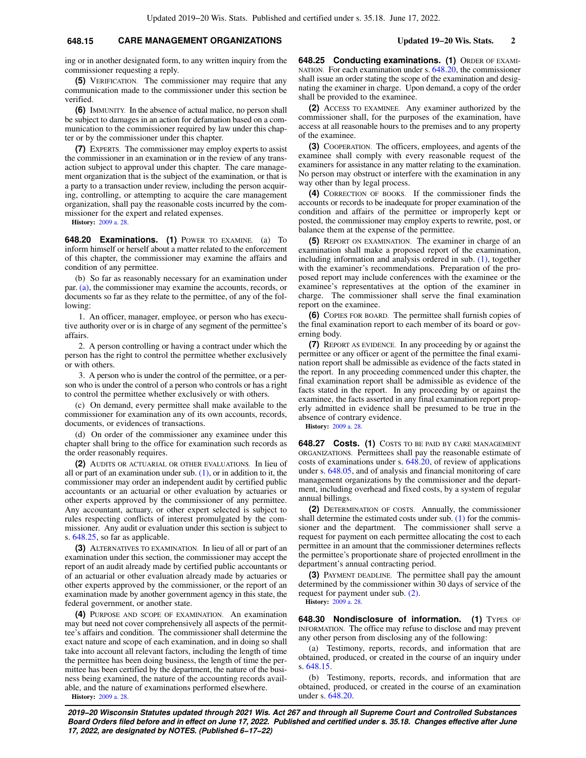## **648.15 CARE MANAGEMENT ORGANIZATIONS Updated 19−20 Wis. Stats. 2**

ing or in another designated form, to any written inquiry from the commissioner requesting a reply.

**(5)** VERIFICATION. The commissioner may require that any communication made to the commissioner under this section be verified.

**(6)** IMMUNITY. In the absence of actual malice, no person shall be subject to damages in an action for defamation based on a communication to the commissioner required by law under this chapter or by the commissioner under this chapter.

**(7)** EXPERTS. The commissioner may employ experts to assist the commissioner in an examination or in the review of any transaction subject to approval under this chapter. The care management organization that is the subject of the examination, or that is a party to a transaction under review, including the person acquiring, controlling, or attempting to acquire the care management organization, shall pay the reasonable costs incurred by the commissioner for the expert and related expenses.

**History:** [2009 a. 28.](https://docs.legis.wisconsin.gov/document/acts/2009/28)

**648.20 Examinations. (1)** POWER TO EXAMINE. (a) To inform himself or herself about a matter related to the enforcement of this chapter, the commissioner may examine the affairs and condition of any permittee.

(b) So far as reasonably necessary for an examination under par. [\(a\)](https://docs.legis.wisconsin.gov/document/statutes/648.20(1)(a)), the commissioner may examine the accounts, records, or documents so far as they relate to the permittee, of any of the following:

1. An officer, manager, employee, or person who has executive authority over or is in charge of any segment of the permittee's affairs.

2. A person controlling or having a contract under which the person has the right to control the permittee whether exclusively or with others.

3. A person who is under the control of the permittee, or a person who is under the control of a person who controls or has a right to control the permittee whether exclusively or with others.

(c) On demand, every permittee shall make available to the commissioner for examination any of its own accounts, records, documents, or evidences of transactions.

(d) On order of the commissioner any examinee under this chapter shall bring to the office for examination such records as the order reasonably requires.

**(2)** AUDITS OR ACTUARIAL OR OTHER EVALUATIONS. In lieu of all or part of an examination under sub.  $(1)$ , or in addition to it, the commissioner may order an independent audit by certified public accountants or an actuarial or other evaluation by actuaries or other experts approved by the commissioner of any permittee. Any accountant, actuary, or other expert selected is subject to rules respecting conflicts of interest promulgated by the commissioner. Any audit or evaluation under this section is subject to s. [648.25,](https://docs.legis.wisconsin.gov/document/statutes/648.25) so far as applicable.

**(3)** ALTERNATIVES TO EXAMINATION. In lieu of all or part of an examination under this section, the commissioner may accept the report of an audit already made by certified public accountants or of an actuarial or other evaluation already made by actuaries or other experts approved by the commissioner, or the report of an examination made by another government agency in this state, the federal government, or another state.

**(4)** PURPOSE AND SCOPE OF EXAMINATION. An examination may but need not cover comprehensively all aspects of the permittee's affairs and condition. The commissioner shall determine the exact nature and scope of each examination, and in doing so shall take into account all relevant factors, including the length of time the permittee has been doing business, the length of time the permittee has been certified by the department, the nature of the business being examined, the nature of the accounting records available, and the nature of examinations performed elsewhere. **History:** [2009 a. 28.](https://docs.legis.wisconsin.gov/document/acts/2009/28)

**648.25 Conducting examinations. (1)** ORDER OF EXAMI-NATION. For each examination under s. [648.20,](https://docs.legis.wisconsin.gov/document/statutes/648.20) the commissioner shall issue an order stating the scope of the examination and designating the examiner in charge. Upon demand, a copy of the order shall be provided to the examinee.

**(2)** ACCESS TO EXAMINEE. Any examiner authorized by the commissioner shall, for the purposes of the examination, have access at all reasonable hours to the premises and to any property of the examinee.

**(3)** COOPERATION. The officers, employees, and agents of the examinee shall comply with every reasonable request of the examiners for assistance in any matter relating to the examination. No person may obstruct or interfere with the examination in any way other than by legal process.

**(4)** CORRECTION OF BOOKS. If the commissioner finds the accounts or records to be inadequate for proper examination of the condition and affairs of the permittee or improperly kept or posted, the commissioner may employ experts to rewrite, post, or balance them at the expense of the permittee.

**(5)** REPORT ON EXAMINATION. The examiner in charge of an examination shall make a proposed report of the examination, including information and analysis ordered in sub. [\(1\),](https://docs.legis.wisconsin.gov/document/statutes/648.25(1)) together with the examiner's recommendations. Preparation of the proposed report may include conferences with the examinee or the examinee's representatives at the option of the examiner in charge. The commissioner shall serve the final examination report on the examinee.

**(6)** COPIES FOR BOARD. The permittee shall furnish copies of the final examination report to each member of its board or governing body.

**(7)** REPORT AS EVIDENCE. In any proceeding by or against the permittee or any officer or agent of the permittee the final examination report shall be admissible as evidence of the facts stated in the report. In any proceeding commenced under this chapter, the final examination report shall be admissible as evidence of the facts stated in the report. In any proceeding by or against the examinee, the facts asserted in any final examination report properly admitted in evidence shall be presumed to be true in the absence of contrary evidence.

**History:** [2009 a. 28](https://docs.legis.wisconsin.gov/document/acts/2009/28).

**648.27 Costs. (1)** COSTS TO BE PAID BY CARE MANAGEMENT ORGANIZATIONS. Permittees shall pay the reasonable estimate of costs of examinations under s. [648.20](https://docs.legis.wisconsin.gov/document/statutes/648.20), of review of applications under s. [648.05,](https://docs.legis.wisconsin.gov/document/statutes/648.05) and of analysis and financial monitoring of care management organizations by the commissioner and the department, including overhead and fixed costs, by a system of regular annual billings.

**(2)** DETERMINATION OF COSTS. Annually, the commissioner shall determine the estimated costs under sub. [\(1\)](https://docs.legis.wisconsin.gov/document/statutes/648.27(1)) for the commissioner and the department. The commissioner shall serve a request for payment on each permittee allocating the cost to each permittee in an amount that the commissioner determines reflects the permittee's proportionate share of projected enrollment in the department's annual contracting period.

**(3)** PAYMENT DEADLINE. The permittee shall pay the amount determined by the commissioner within 30 days of service of the request for payment under sub. [\(2\)](https://docs.legis.wisconsin.gov/document/statutes/648.27(2)).

**History:** [2009 a. 28](https://docs.legis.wisconsin.gov/document/acts/2009/28).

648.30 Nondisclosure of information. (1) TYPES OF INFORMATION. The office may refuse to disclose and may prevent any other person from disclosing any of the following:

(a) Testimony, reports, records, and information that are obtained, produced, or created in the course of an inquiry under s. [648.15.](https://docs.legis.wisconsin.gov/document/statutes/648.15)

(b) Testimony, reports, records, and information that are obtained, produced, or created in the course of an examination under s. [648.20.](https://docs.legis.wisconsin.gov/document/statutes/648.20)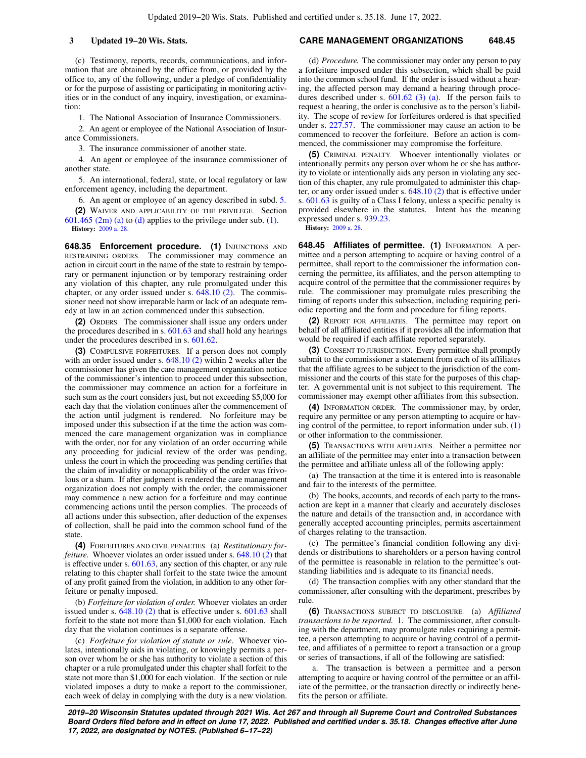(c) Testimony, reports, records, communications, and information that are obtained by the office from, or provided by the office to, any of the following, under a pledge of confidentiality or for the purpose of assisting or participating in monitoring activities or in the conduct of any inquiry, investigation, or examination:

1. The National Association of Insurance Commissioners.

2. An agent or employee of the National Association of Insurance Commissioners.

3. The insurance commissioner of another state.

4. An agent or employee of the insurance commissioner of another state.

5. An international, federal, state, or local regulatory or law enforcement agency, including the department.

6. An agent or employee of an agency described in subd. [5.](https://docs.legis.wisconsin.gov/document/statutes/648.30(1)(c)5.)

**(2)** WAIVER AND APPLICABILITY OF THE PRIVILEGE. Section [601.465 \(2m\) \(a\)](https://docs.legis.wisconsin.gov/document/statutes/601.465(2m)(a)) to [\(d\)](https://docs.legis.wisconsin.gov/document/statutes/601.465(2m)(d)) applies to the privilege under sub. [\(1\)](https://docs.legis.wisconsin.gov/document/statutes/648.30(1)). **History:** [2009 a. 28.](https://docs.legis.wisconsin.gov/document/acts/2009/28)

**648.35 Enforcement procedure. (1) INJUNCTIONS AND** RESTRAINING ORDERS. The commissioner may commence an action in circuit court in the name of the state to restrain by temporary or permanent injunction or by temporary restraining order any violation of this chapter, any rule promulgated under this chapter, or any order issued under s. [648.10 \(2\)](https://docs.legis.wisconsin.gov/document/statutes/648.10(2)). The commissioner need not show irreparable harm or lack of an adequate remedy at law in an action commenced under this subsection.

**(2)** ORDERS. The commissioner shall issue any orders under the procedures described in s. [601.63](https://docs.legis.wisconsin.gov/document/statutes/601.63) and shall hold any hearings under the procedures described in s. [601.62](https://docs.legis.wisconsin.gov/document/statutes/601.62).

**(3)** COMPULSIVE FORFEITURES. If a person does not comply with an order issued under s. [648.10 \(2\)](https://docs.legis.wisconsin.gov/document/statutes/648.10(2)) within 2 weeks after the commissioner has given the care management organization notice of the commissioner's intention to proceed under this subsection, the commissioner may commence an action for a forfeiture in such sum as the court considers just, but not exceeding \$5,000 for each day that the violation continues after the commencement of the action until judgment is rendered. No forfeiture may be imposed under this subsection if at the time the action was commenced the care management organization was in compliance with the order, nor for any violation of an order occurring while any proceeding for judicial review of the order was pending, unless the court in which the proceeding was pending certifies that the claim of invalidity or nonapplicability of the order was frivolous or a sham. If after judgment is rendered the care management organization does not comply with the order, the commissioner may commence a new action for a forfeiture and may continue commencing actions until the person complies. The proceeds of all actions under this subsection, after deduction of the expenses of collection, shall be paid into the common school fund of the state.

**(4)** FORFEITURES AND CIVIL PENALTIES. (a) *Restitutionary forfeiture.* Whoever violates an order issued under s. [648.10 \(2\)](https://docs.legis.wisconsin.gov/document/statutes/648.10(2)) that is effective under s. [601.63,](https://docs.legis.wisconsin.gov/document/statutes/601.63) any section of this chapter, or any rule relating to this chapter shall forfeit to the state twice the amount of any profit gained from the violation, in addition to any other forfeiture or penalty imposed.

(b) *Forfeiture for violation of order.* Whoever violates an order issued under s. [648.10 \(2\)](https://docs.legis.wisconsin.gov/document/statutes/648.10(2)) that is effective under s. [601.63](https://docs.legis.wisconsin.gov/document/statutes/601.63) shall forfeit to the state not more than \$1,000 for each violation. Each day that the violation continues is a separate offense.

(c) *Forfeiture for violation of statute or rule.* Whoever violates, intentionally aids in violating, or knowingly permits a person over whom he or she has authority to violate a section of this chapter or a rule promulgated under this chapter shall forfeit to the state not more than \$1,000 for each violation. If the section or rule violated imposes a duty to make a report to the commissioner, each week of delay in complying with the duty is a new violation.

### **3 Updated 19−20 Wis. Stats. CARE MANAGEMENT ORGANIZATIONS 648.45**

(d) *Procedure.* The commissioner may order any person to pay a forfeiture imposed under this subsection, which shall be paid into the common school fund. If the order is issued without a hearing, the affected person may demand a hearing through procedures described under s.  $601.62$  (3) (a). If the person fails to request a hearing, the order is conclusive as to the person's liability. The scope of review for forfeitures ordered is that specified under s. [227.57](https://docs.legis.wisconsin.gov/document/statutes/227.57). The commissioner may cause an action to be commenced to recover the forfeiture. Before an action is commenced, the commissioner may compromise the forfeiture.

**(5)** CRIMINAL PENALTY. Whoever intentionally violates or intentionally permits any person over whom he or she has authority to violate or intentionally aids any person in violating any section of this chapter, any rule promulgated to administer this chapter, or any order issued under s. [648.10 \(2\)](https://docs.legis.wisconsin.gov/document/statutes/648.10(2)) that is effective under s. [601.63](https://docs.legis.wisconsin.gov/document/statutes/601.63) is guilty of a Class I felony, unless a specific penalty is provided elsewhere in the statutes. Intent has the meaning expressed under s. [939.23.](https://docs.legis.wisconsin.gov/document/statutes/939.23)

**History:** [2009 a. 28](https://docs.legis.wisconsin.gov/document/acts/2009/28).

**648.45 Affiliates of permittee. (1)** INFORMATION. A permittee and a person attempting to acquire or having control of a permittee, shall report to the commissioner the information concerning the permittee, its affiliates, and the person attempting to acquire control of the permittee that the commissioner requires by rule. The commissioner may promulgate rules prescribing the timing of reports under this subsection, including requiring periodic reporting and the form and procedure for filing reports.

**(2)** REPORT FOR AFFILIATES. The permittee may report on behalf of all affiliated entities if it provides all the information that would be required if each affiliate reported separately.

**(3)** CONSENT TO JURISDICTION. Every permittee shall promptly submit to the commissioner a statement from each of its affiliates that the affiliate agrees to be subject to the jurisdiction of the commissioner and the courts of this state for the purposes of this chapter. A governmental unit is not subject to this requirement. The commissioner may exempt other affiliates from this subsection.

**(4)** INFORMATION ORDER. The commissioner may, by order, require any permittee or any person attempting to acquire or having control of the permittee, to report information under sub.  $(1)$ or other information to the commissioner.

**(5)** TRANSACTIONS WITH AFFILIATES. Neither a permittee nor an affiliate of the permittee may enter into a transaction between the permittee and affiliate unless all of the following apply:

(a) The transaction at the time it is entered into is reasonable and fair to the interests of the permittee.

(b) The books, accounts, and records of each party to the transaction are kept in a manner that clearly and accurately discloses the nature and details of the transaction and, in accordance with generally accepted accounting principles, permits ascertainment of charges relating to the transaction.

(c) The permittee's financial condition following any dividends or distributions to shareholders or a person having control of the permittee is reasonable in relation to the permittee's outstanding liabilities and is adequate to its financial needs.

(d) The transaction complies with any other standard that the commissioner, after consulting with the department, prescribes by rule.

**(6)** TRANSACTIONS SUBJECT TO DISCLOSURE. (a) *Affiliated transactions to be reported.* 1. The commissioner, after consulting with the department, may promulgate rules requiring a permittee, a person attempting to acquire or having control of a permittee, and affiliates of a permittee to report a transaction or a group or series of transactions, if all of the following are satisfied:

a. The transaction is between a permittee and a person attempting to acquire or having control of the permittee or an affiliate of the permittee, or the transaction directly or indirectly benefits the person or affiliate.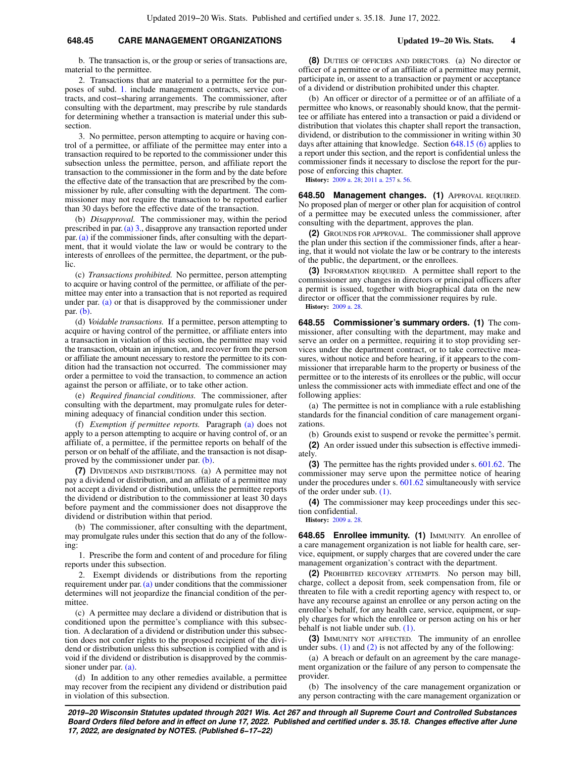## **648.45 CARE MANAGEMENT ORGANIZATIONS Updated 19−20 Wis. Stats. 4**

b. The transaction is, or the group or series of transactions are, material to the permittee.

2. Transactions that are material to a permittee for the purposes of subd. [1.](https://docs.legis.wisconsin.gov/document/statutes/648.45(6)(a)1.) include management contracts, service contracts, and cost−sharing arrangements. The commissioner, after consulting with the department, may prescribe by rule standards for determining whether a transaction is material under this subsection.

3. No permittee, person attempting to acquire or having control of a permittee, or affiliate of the permittee may enter into a transaction required to be reported to the commissioner under this subsection unless the permittee, person, and affiliate report the transaction to the commissioner in the form and by the date before the effective date of the transaction that are prescribed by the commissioner by rule, after consulting with the department. The commissioner may not require the transaction to be reported earlier than 30 days before the effective date of the transaction.

(b) *Disapproval.* The commissioner may, within the period prescribed in par. [\(a\) 3.,](https://docs.legis.wisconsin.gov/document/statutes/648.45(6)(a)3.) disapprove any transaction reported under par.[\(a\)](https://docs.legis.wisconsin.gov/document/statutes/648.45(6)(a)) if the commissioner finds, after consulting with the department, that it would violate the law or would be contrary to the interests of enrollees of the permittee, the department, or the public.

(c) *Transactions prohibited.* No permittee, person attempting to acquire or having control of the permittee, or affiliate of the permittee may enter into a transaction that is not reported as required under par. [\(a\)](https://docs.legis.wisconsin.gov/document/statutes/648.45(6)(a)) or that is disapproved by the commissioner under par. [\(b\).](https://docs.legis.wisconsin.gov/document/statutes/648.45(6)(b))

(d) *Voidable transactions.* If a permittee, person attempting to acquire or having control of the permittee, or affiliate enters into a transaction in violation of this section, the permittee may void the transaction, obtain an injunction, and recover from the person or affiliate the amount necessary to restore the permittee to its condition had the transaction not occurred. The commissioner may order a permittee to void the transaction, to commence an action against the person or affiliate, or to take other action.

(e) *Required financial conditions.* The commissioner, after consulting with the department, may promulgate rules for determining adequacy of financial condition under this section.

(f) *Exemption if permittee reports.* Paragraph [\(a\)](https://docs.legis.wisconsin.gov/document/statutes/648.45(6)(a)) does not apply to a person attempting to acquire or having control of, or an affiliate of, a permittee, if the permittee reports on behalf of the person or on behalf of the affiliate, and the transaction is not disapproved by the commissioner under par. [\(b\).](https://docs.legis.wisconsin.gov/document/statutes/648.45(6)(b))

**(7)** DIVIDENDS AND DISTRIBUTIONS. (a) A permittee may not pay a dividend or distribution, and an affiliate of a permittee may not accept a dividend or distribution, unless the permittee reports the dividend or distribution to the commissioner at least 30 days before payment and the commissioner does not disapprove the dividend or distribution within that period.

(b) The commissioner, after consulting with the department, may promulgate rules under this section that do any of the following:

1. Prescribe the form and content of and procedure for filing reports under this subsection.

2. Exempt dividends or distributions from the reporting requirement under par.  $(a)$  under conditions that the commissioner determines will not jeopardize the financial condition of the permittee.

(c) A permittee may declare a dividend or distribution that is conditioned upon the permittee's compliance with this subsection. A declaration of a dividend or distribution under this subsection does not confer rights to the proposed recipient of the dividend or distribution unless this subsection is complied with and is void if the dividend or distribution is disapproved by the commissioner under par. [\(a\).](https://docs.legis.wisconsin.gov/document/statutes/648.45(7)(a))

(d) In addition to any other remedies available, a permittee may recover from the recipient any dividend or distribution paid in violation of this subsection.

**(8)** DUTIES OF OFFICERS AND DIRECTORS. (a) No director or officer of a permittee or of an affiliate of a permittee may permit, participate in, or assent to a transaction or payment or acceptance of a dividend or distribution prohibited under this chapter.

(b) An officer or director of a permittee or of an affiliate of a permittee who knows, or reasonably should know, that the permittee or affiliate has entered into a transaction or paid a dividend or distribution that violates this chapter shall report the transaction, dividend, or distribution to the commissioner in writing within 30 days after attaining that knowledge. Section [648.15 \(6\)](https://docs.legis.wisconsin.gov/document/statutes/648.15(6)) applies to a report under this section, and the report is confidential unless the commissioner finds it necessary to disclose the report for the purpose of enforcing this chapter.

**History:** [2009 a. 28](https://docs.legis.wisconsin.gov/document/acts/2009/28); [2011 a. 257](https://docs.legis.wisconsin.gov/document/acts/2011/257) s. [56](https://docs.legis.wisconsin.gov/document/acts/2011/257,%20s.%2056).

**648.50 Management changes. (1)** APPROVAL REQUIRED. No proposed plan of merger or other plan for acquisition of control of a permittee may be executed unless the commissioner, after consulting with the department, approves the plan.

**(2)** GROUNDS FOR APPROVAL. The commissioner shall approve the plan under this section if the commissioner finds, after a hearing, that it would not violate the law or be contrary to the interests of the public, the department, or the enrollees.

**(3)** INFORMATION REQUIRED. A permittee shall report to the commissioner any changes in directors or principal officers after a permit is issued, together with biographical data on the new director or officer that the commissioner requires by rule. **History:** [2009 a. 28](https://docs.legis.wisconsin.gov/document/acts/2009/28).

**648.55 Commissioner's summary orders. (1)** The commissioner, after consulting with the department, may make and serve an order on a permittee, requiring it to stop providing services under the department contract, or to take corrective measures, without notice and before hearing, if it appears to the commissioner that irreparable harm to the property or business of the permittee or to the interests of its enrollees or the public, will occur unless the commissioner acts with immediate effect and one of the following applies:

(a) The permittee is not in compliance with a rule establishing standards for the financial condition of care management organizations.

(b) Grounds exist to suspend or revoke the permittee's permit. **(2)** An order issued under this subsection is effective immediately.

**(3)** The permittee has the rights provided under s. [601.62](https://docs.legis.wisconsin.gov/document/statutes/601.62). The commissioner may serve upon the permittee notice of hearing under the procedures under s. [601.62](https://docs.legis.wisconsin.gov/document/statutes/601.62) simultaneously with service of the order under sub. [\(1\)](https://docs.legis.wisconsin.gov/document/statutes/648.55(1)).

**(4)** The commissioner may keep proceedings under this section confidential.

**History:** [2009 a. 28](https://docs.legis.wisconsin.gov/document/acts/2009/28).

**648.65 Enrollee immunity. (1)** IMMUNITY. An enrollee of a care management organization is not liable for health care, service, equipment, or supply charges that are covered under the care management organization's contract with the department.

**(2)** PROHIBITED RECOVERY ATTEMPTS. No person may bill, charge, collect a deposit from, seek compensation from, file or threaten to file with a credit reporting agency with respect to, or have any recourse against an enrollee or any person acting on the enrollee's behalf, for any health care, service, equipment, or supply charges for which the enrollee or person acting on his or her behalf is not liable under sub. [\(1\).](https://docs.legis.wisconsin.gov/document/statutes/648.65(1))

**(3)** IMMUNITY NOT AFFECTED. The immunity of an enrollee under subs.  $(1)$  and  $(2)$  is not affected by any of the following:

(a) A breach or default on an agreement by the care management organization or the failure of any person to compensate the provider.

(b) The insolvency of the care management organization or any person contracting with the care management organization or